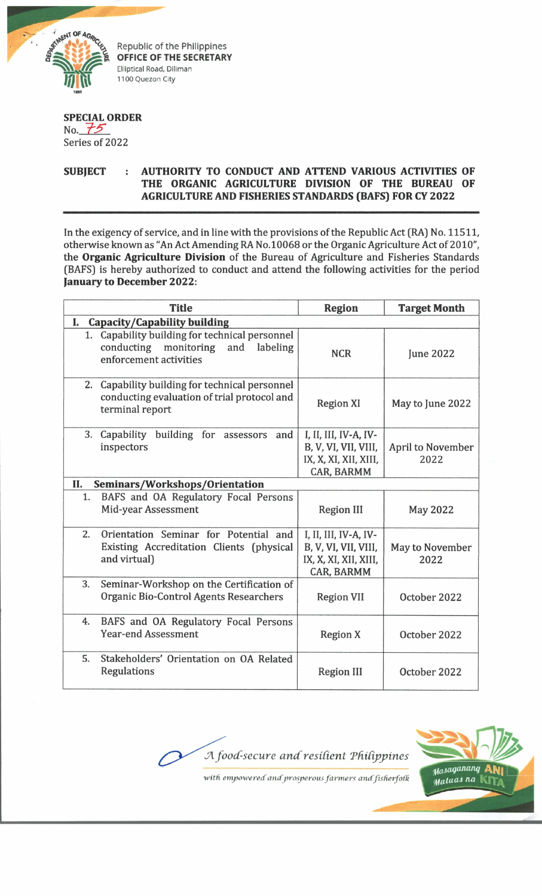

Republic of the Philippines **OFFICE OF THE SECRETARY** Elliptical Road, Diliman 1100 Quezon City

*in the Company of the Company of the Company of the Company of the Company of the Company of the Company of the Company of the Company of the Company of the Company of the Company of the Company of the Company of the Com* 

## **SPECIAL ORDER**

No.  $75$ Series of 2022

## **SUBJECT : AUTHORITY TO CONDUCT AND ATTEND VARIOUS ACTIVITIES OF THE ORGANIC AGRICULTURE DIVISION OF THE BUREAU OF AGRICULTURE AND FISHERIES STANDARDS (BAFS) FOR CY 2022**

In the exigency of service, and in line with the provisions of the Republic Act (RA) No. 11511, otherwise known as "An Act Amending RA No.10068 or the Organic Agriculture Act of 2010", the **Organic Agriculture Division** of the Bureau of Agriculture and Fisheries Standards (BAFS) is hereby authorized to conduct and attend the following activities for the period **January to December 2022:**

| <b>Title</b>                                                                                                            | <b>Region</b>                                                                               | <b>Target Month</b>       |  |
|-------------------------------------------------------------------------------------------------------------------------|---------------------------------------------------------------------------------------------|---------------------------|--|
| Capacity/Capability building<br>I.                                                                                      |                                                                                             |                           |  |
| Capability building for technical personnel<br>1.<br>conducting monitoring<br>and<br>labeling<br>enforcement activities | <b>NCR</b>                                                                                  | <b>June 2022</b>          |  |
| 2. Capability building for technical personnel<br>conducting evaluation of trial protocol and<br>terminal report        | <b>Region XI</b>                                                                            | May to June 2022          |  |
| 3.<br>Capability<br>building for<br>and<br>assessors<br>inspectors                                                      | I, II, III, IV-A, IV-<br>B, V, VI, VII, VIII,<br>IX, X, XI, XII, XIII,<br><b>CAR, BARMM</b> | April to November<br>2022 |  |
| Seminars/Workshops/Orientation<br>П.                                                                                    |                                                                                             |                           |  |
| BAFS and OA Regulatory Focal Persons<br>1.<br><b>Mid-year Assessment</b>                                                | <b>Region III</b>                                                                           | <b>May 2022</b>           |  |
| 2.<br>Orientation Seminar for Potential and<br>Existing Accreditation Clients (physical<br>and virtual)                 | I, II, III, IV-A, IV-<br>B, V, VI, VII, VIII,<br>IX, X, XI, XII, XIII,<br><b>CAR, BARMM</b> | May to November<br>2022   |  |
| 3.<br>Seminar-Workshop on the Certification of<br><b>Organic Bio-Control Agents Researchers</b>                         | <b>Region VII</b>                                                                           | October 2022              |  |
| BAFS and OA Regulatory Focal Persons<br>4.<br><b>Year-end Assessment</b>                                                | <b>Region X</b>                                                                             | October 2022              |  |
| 5.<br>Stakeholders' Orientation on OA Related<br>Regulations                                                            | <b>Region III</b>                                                                           | October 2022              |  |



*with empowered' and prosperous farmers amffisherfofk*